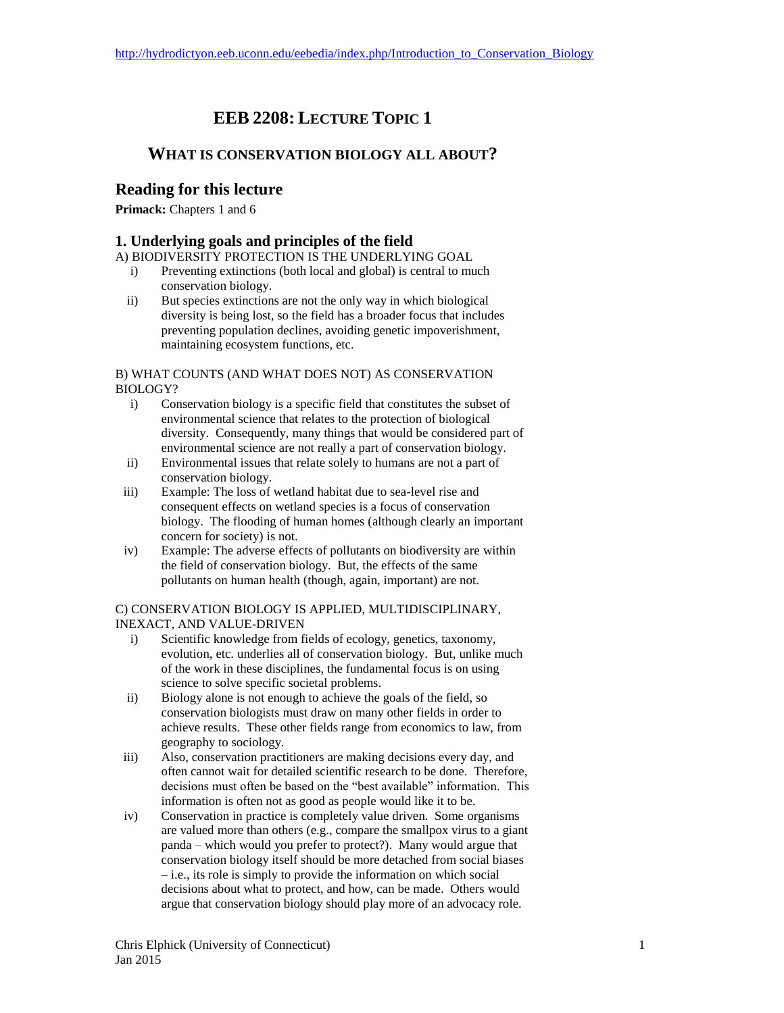# **EEB 2208: LECTURE TOPIC 1**

# **WHAT IS CONSERVATION BIOLOGY ALL ABOUT?**

# **Reading for this lecture**

**Primack:** Chapters 1 and 6

## **1. Underlying goals and principles of the field**

A) BIODIVERSITY PROTECTION IS THE UNDERLYING GOAL

- i) Preventing extinctions (both local and global) is central to much conservation biology.
- ii) But species extinctions are not the only way in which biological diversity is being lost, so the field has a broader focus that includes preventing population declines, avoiding genetic impoverishment, maintaining ecosystem functions, etc.

#### B) WHAT COUNTS (AND WHAT DOES NOT) AS CONSERVATION BIOLOGY?

- i) Conservation biology is a specific field that constitutes the subset of environmental science that relates to the protection of biological diversity. Consequently, many things that would be considered part of environmental science are not really a part of conservation biology.
- ii) Environmental issues that relate solely to humans are not a part of conservation biology.
- iii) Example: The loss of wetland habitat due to sea-level rise and consequent effects on wetland species is a focus of conservation biology. The flooding of human homes (although clearly an important concern for society) is not.
- iv) Example: The adverse effects of pollutants on biodiversity are within the field of conservation biology. But, the effects of the same pollutants on human health (though, again, important) are not.

#### C) CONSERVATION BIOLOGY IS APPLIED, MULTIDISCIPLINARY, INEXACT, AND VALUE-DRIVEN

- i) Scientific knowledge from fields of ecology, genetics, taxonomy, evolution, etc. underlies all of conservation biology. But, unlike much of the work in these disciplines, the fundamental focus is on using science to solve specific societal problems.
- ii) Biology alone is not enough to achieve the goals of the field, so conservation biologists must draw on many other fields in order to achieve results. These other fields range from economics to law, from geography to sociology.
- iii) Also, conservation practitioners are making decisions every day, and often cannot wait for detailed scientific research to be done. Therefore, decisions must often be based on the "best available" information. This information is often not as good as people would like it to be.
- iv) Conservation in practice is completely value driven. Some organisms are valued more than others (e.g., compare the smallpox virus to a giant panda – which would you prefer to protect?). Many would argue that conservation biology itself should be more detached from social biases – i.e., its role is simply to provide the information on which social decisions about what to protect, and how, can be made. Others would argue that conservation biology should play more of an advocacy role.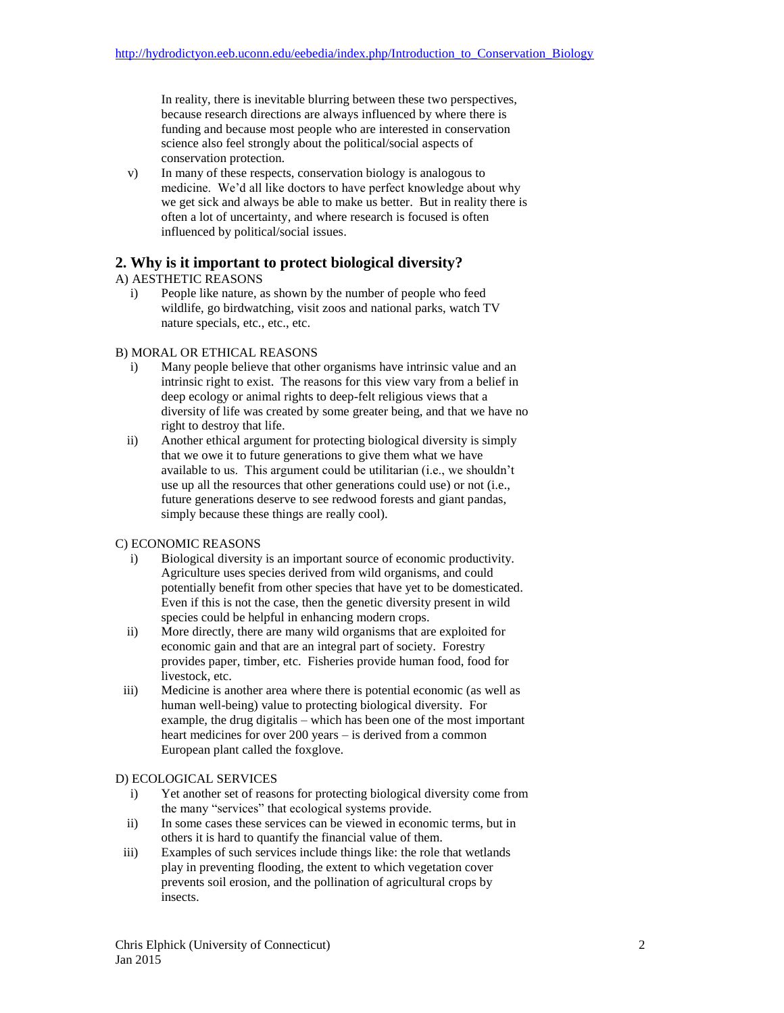In reality, there is inevitable blurring between these two perspectives, because research directions are always influenced by where there is funding and because most people who are interested in conservation science also feel strongly about the political/social aspects of conservation protection.

v) In many of these respects, conservation biology is analogous to medicine. We'd all like doctors to have perfect knowledge about why we get sick and always be able to make us better. But in reality there is often a lot of uncertainty, and where research is focused is often influenced by political/social issues.

# **2. Why is it important to protect biological diversity?**

### A) AESTHETIC REASONS

i) People like nature, as shown by the number of people who feed wildlife, go birdwatching, visit zoos and national parks, watch TV nature specials, etc., etc., etc.

### B) MORAL OR ETHICAL REASONS

- i) Many people believe that other organisms have intrinsic value and an intrinsic right to exist. The reasons for this view vary from a belief in deep ecology or animal rights to deep-felt religious views that a diversity of life was created by some greater being, and that we have no right to destroy that life.
- ii) Another ethical argument for protecting biological diversity is simply that we owe it to future generations to give them what we have available to us. This argument could be utilitarian (i.e., we shouldn't use up all the resources that other generations could use) or not (i.e., future generations deserve to see redwood forests and giant pandas, simply because these things are really cool).

#### C) ECONOMIC REASONS

- i) Biological diversity is an important source of economic productivity. Agriculture uses species derived from wild organisms, and could potentially benefit from other species that have yet to be domesticated. Even if this is not the case, then the genetic diversity present in wild species could be helpful in enhancing modern crops.
- ii) More directly, there are many wild organisms that are exploited for economic gain and that are an integral part of society. Forestry provides paper, timber, etc. Fisheries provide human food, food for livestock, etc.
- iii) Medicine is another area where there is potential economic (as well as human well-being) value to protecting biological diversity. For example, the drug digitalis – which has been one of the most important heart medicines for over 200 years – is derived from a common European plant called the foxglove.

#### D) ECOLOGICAL SERVICES

- i) Yet another set of reasons for protecting biological diversity come from the many "services" that ecological systems provide.
- ii) In some cases these services can be viewed in economic terms, but in others it is hard to quantify the financial value of them.
- iii) Examples of such services include things like: the role that wetlands play in preventing flooding, the extent to which vegetation cover prevents soil erosion, and the pollination of agricultural crops by insects.